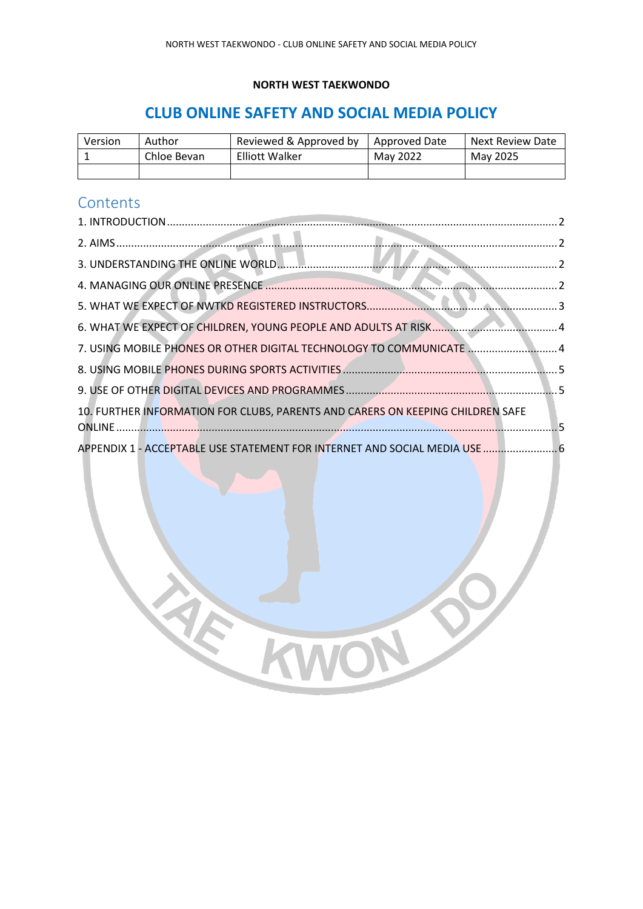#### **NORTH WEST TAEKWONDO**

### **CLUB ONLINE SAFETY AND SOCIAL MEDIA POLICY**

| Version | Author      | Reviewed & Approved by | Approved Date | Next Review Date |
|---------|-------------|------------------------|---------------|------------------|
|         | Chloe Bevan | <b>Elliott Walker</b>  | May 2022      | May 2025         |
|         |             |                        |               |                  |

### **Contents**

| 7. USING MOBILE PHONES OR OTHER DIGITAL TECHNOLOGY TO COMMUNICATE 4            |  |
|--------------------------------------------------------------------------------|--|
|                                                                                |  |
|                                                                                |  |
| 10. FURTHER INFORMATION FOR CLUBS, PARENTS AND CARERS ON KEEPING CHILDREN SAFE |  |
| APPENDIX 1 - ACCEPTABLE USE STATEMENT FOR INTERNET AND SOCIAL MEDIA USE  6     |  |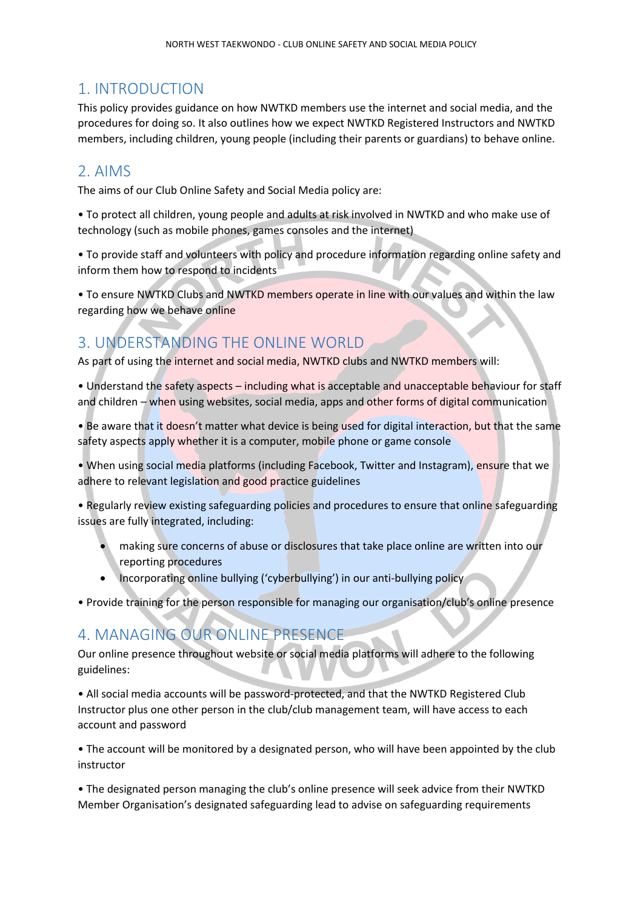#### <span id="page-1-0"></span>1. INTRODUCTION

This policy provides guidance on how NWTKD members use the internet and social media, and the procedures for doing so. It also outlines how we expect NWTKD Registered Instructors and NWTKD members, including children, young people (including their parents or guardians) to behave online.

#### <span id="page-1-1"></span>2. AIMS

The aims of our Club Online Safety and Social Media policy are:

• To protect all children, young people and adults at risk involved in NWTKD and who make use of technology (such as mobile phones, games consoles and the internet)

• To provide staff and volunteers with policy and procedure information regarding online safety and inform them how to respond to incidents

• To ensure NWTKD Clubs and NWTKD members operate in line with our values and within the law regarding how we behave online

### <span id="page-1-2"></span>3. UNDERSTANDING THE ONLINE WORLD

As part of using the internet and social media, NWTKD clubs and NWTKD members will:

• Understand the safety aspects – including what is acceptable and unacceptable behaviour for staff and children – when using websites, social media, apps and other forms of digital communication

• Be aware that it doesn't matter what device is being used for digital interaction, but that the same safety aspects apply whether it is a computer, mobile phone or game console

• When using social media platforms (including Facebook, Twitter and Instagram), ensure that we adhere to relevant legislation and good practice guidelines

• Regularly review existing safeguarding policies and procedures to ensure that online safeguarding issues are fully integrated, including:

- making sure concerns of abuse or disclosures that take place online are written into our reporting procedures
- Incorporating online bullying ('cyberbullying') in our anti-bullying policy

• Provide training for the person responsible for managing our organisation/club's online presence

#### <span id="page-1-3"></span>4. MANAGING OUR ONLINE PRESENCE

Our online presence throughout website or social media platforms will adhere to the following guidelines:

• All social media accounts will be password-protected, and that the NWTKD Registered Club Instructor plus one other person in the club/club management team, will have access to each account and password

• The account will be monitored by a designated person, who will have been appointed by the club instructor

• The designated person managing the club's online presence will seek advice from their NWTKD Member Organisation's designated safeguarding lead to advise on safeguarding requirements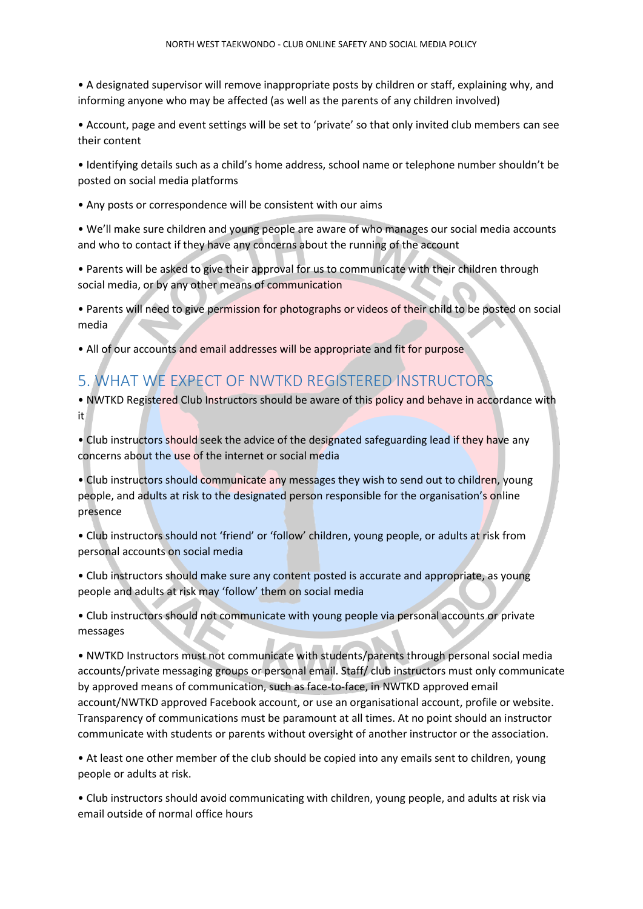• A designated supervisor will remove inappropriate posts by children or staff, explaining why, and informing anyone who may be affected (as well as the parents of any children involved)

• Account, page and event settings will be set to 'private' so that only invited club members can see their content

• Identifying details such as a child's home address, school name or telephone number shouldn't be posted on social media platforms

• Any posts or correspondence will be consistent with our aims

• We'll make sure children and young people are aware of who manages our social media accounts and who to contact if they have any concerns about the running of the account

• Parents will be asked to give their approval for us to communicate with their children through social media, or by any other means of communication

• Parents will need to give permission for photographs or videos of their child to be posted on social media

• All of our accounts and email addresses will be appropriate and fit for purpose

### <span id="page-2-0"></span>5. WHAT WE EXPECT OF NWTKD REGISTERED INSTRUCTORS

• NWTKD Registered Club Instructors should be aware of this policy and behave in accordance with it

• Club instructors should seek the advice of the designated safeguarding lead if they have any concerns about the use of the internet or social media

• Club instructors should communicate any messages they wish to send out to children, young people, and adults at risk to the designated person responsible for the organisation's online presence

• Club instructors should not 'friend' or 'follow' children, young people, or adults at risk from personal accounts on social media

• Club instructors should make sure any content posted is accurate and appropriate, as young people and adults at risk may 'follow' them on social media

• Club instructors should not communicate with young people via personal accounts or private messages

• NWTKD Instructors must not communicate with students/parents through personal social media accounts/private messaging groups or personal email. Staff/ club instructors must only communicate by approved means of communication, such as face-to-face, in NWTKD approved email account/NWTKD approved Facebook account, or use an organisational account, profile or website. Transparency of communications must be paramount at all times. At no point should an instructor communicate with students or parents without oversight of another instructor or the association.

• At least one other member of the club should be copied into any emails sent to children, young people or adults at risk.

• Club instructors should avoid communicating with children, young people, and adults at risk via email outside of normal office hours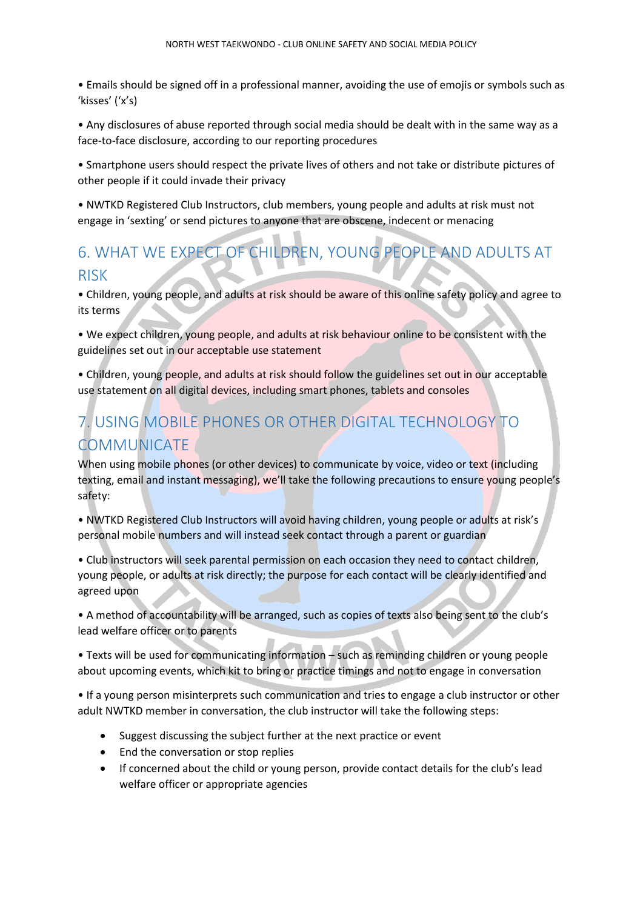• Emails should be signed off in a professional manner, avoiding the use of emojis or symbols such as 'kisses' ('x's)

• Any disclosures of abuse reported through social media should be dealt with in the same way as a face-to-face disclosure, according to our reporting procedures

• Smartphone users should respect the private lives of others and not take or distribute pictures of other people if it could invade their privacy

• NWTKD Registered Club Instructors, club members, young people and adults at risk must not engage in 'sexting' or send pictures to anyone that are obscene, indecent or menacing

# <span id="page-3-0"></span>6. WHAT WE EXPECT OF CHILDREN, YOUNG PEOPLE AND ADULTS AT RISK

• Children, young people, and adults at risk should be aware of this online safety policy and agree to its terms

• We expect children, young people, and adults at risk behaviour online to be consistent with the guidelines set out in our acceptable use statement

• Children, young people, and adults at risk should follow the guidelines set out in our acceptable use statement on all digital devices, including smart phones, tablets and consoles

# <span id="page-3-1"></span>7. USING MOBILE PHONES OR OTHER DIGITAL TECHNOLOGY TO COMMUNICATE

When using mobile phones (or other devices) to communicate by voice, video or text (including texting, email and instant messaging), we'll take the following precautions to ensure young people's safety:

• NWTKD Registered Club Instructors will avoid having children, young people or adults at risk's personal mobile numbers and will instead seek contact through a parent or guardian

• Club instructors will seek parental permission on each occasion they need to contact children, young people, or adults at risk directly; the purpose for each contact will be clearly identified and agreed upon

• A method of accountability will be arranged, such as copies of texts also being sent to the club's lead welfare officer or to parents

• Texts will be used for communicating information – such as reminding children or young people about upcoming events, which kit to bring or practice timings and not to engage in conversation

• If a young person misinterprets such communication and tries to engage a club instructor or other adult NWTKD member in conversation, the club instructor will take the following steps:

- Suggest discussing the subject further at the next practice or event
- End the conversation or stop replies
- If concerned about the child or young person, provide contact details for the club's lead welfare officer or appropriate agencies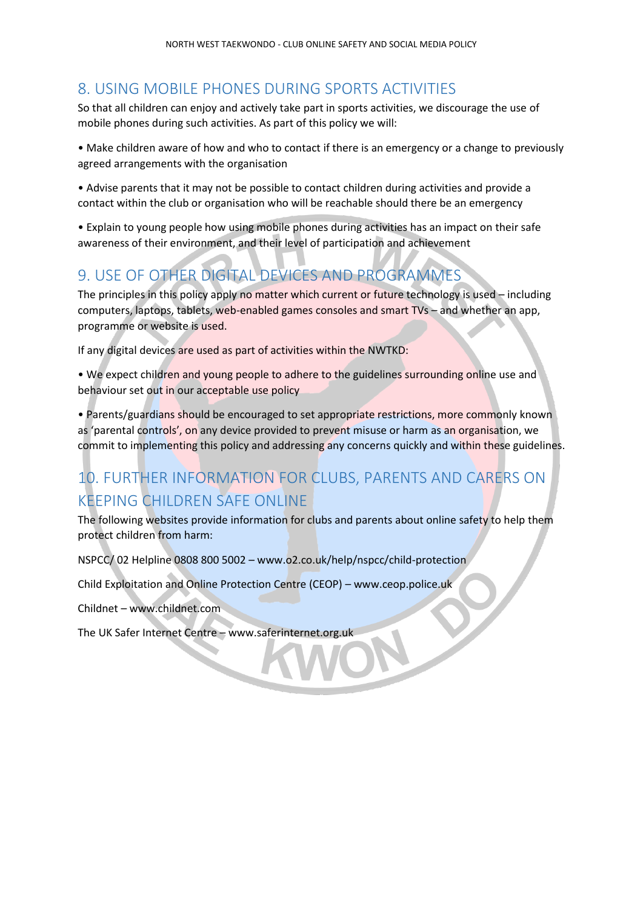### <span id="page-4-0"></span>8. USING MOBILE PHONES DURING SPORTS ACTIVITIES

So that all children can enjoy and actively take part in sports activities, we discourage the use of mobile phones during such activities. As part of this policy we will:

• Make children aware of how and who to contact if there is an emergency or a change to previously agreed arrangements with the organisation

• Advise parents that it may not be possible to contact children during activities and provide a contact within the club or organisation who will be reachable should there be an emergency

• Explain to young people how using mobile phones during activities has an impact on their safe awareness of their environment, and their level of participation and achievement

### <span id="page-4-1"></span>9. USE OF OTHER DIGITAL DEVICES AND PROGRAMMES

The principles in this policy apply no matter which current or future technology is used - including computers, laptops, tablets, web-enabled games consoles and smart TVs – and whether an app, programme or website is used.

If any digital devices are used as part of activities within the NWTKD:

• We expect children and young people to adhere to the guidelines surrounding online use and behaviour set out in our acceptable use policy

• Parents/guardians should be encouraged to set appropriate restrictions, more commonly known as 'parental controls', on any device provided to prevent misuse or harm as an organisation, we commit to implementing this policy and addressing any concerns quickly and within these guidelines.

# <span id="page-4-2"></span>10. FURTHER INFORMATION FOR CLUBS, PARENTS AND CARERS ON KEEPING CHILDREN SAFE ONLINE

The following websites provide information for clubs and parents about online safety to help them protect children from harm:

NSPCC/ 02 Helpline 0808 800 5002 – www.o2.co.uk/help/nspcc/child-protection

Child Exploitation and Online Protection Centre (CEOP) – www.ceop.police.uk

Childnet – www.childnet.com

The UK Safer Internet Centre – www.saferinternet.org.uk